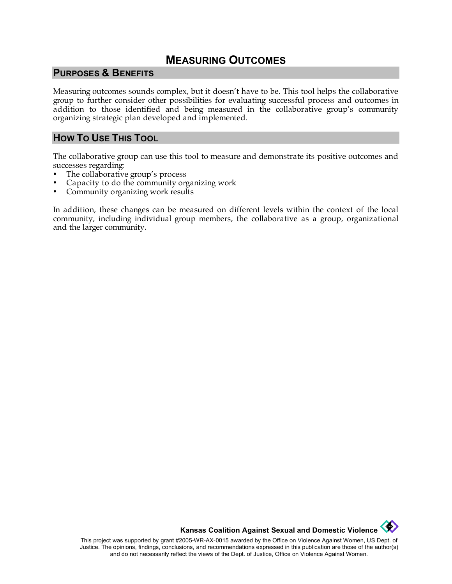### **MEASURING OUTCOMES**

#### **PURPOSES & BENEFITS**

Measuring outcomes sounds complex, but it doesn't have to be. This tool helps the collaborative group to further consider other possibilities for evaluating successful process and outcomes in addition to those identified and being measured in the collaborative group's community organizing strategic plan developed and implemented.

#### **HOW TO USE THIS TOOL**

The collaborative group can use this tool to measure and demonstrate its positive outcomes and successes regarding:

- The collaborative group's process
- Capacity to do the community organizing work
- Community organizing work results

In addition, these changes can be measured on different levels within the context of the local community, including individual group members, the collaborative as a group, organizational and the larger community.

**Kansas Coalition Against Sexual and Domestic Violence** 

This project was supported by grant #2005-WR-AX-0015 awarded by the Office on Violence Against Women, US Dept. of Justice. The opinions, findings, conclusions, and recommendations expressed in this publication are those of the author(s) and do not necessarily reflect the views of the Dept. of Justice, Office on Violence Against Women.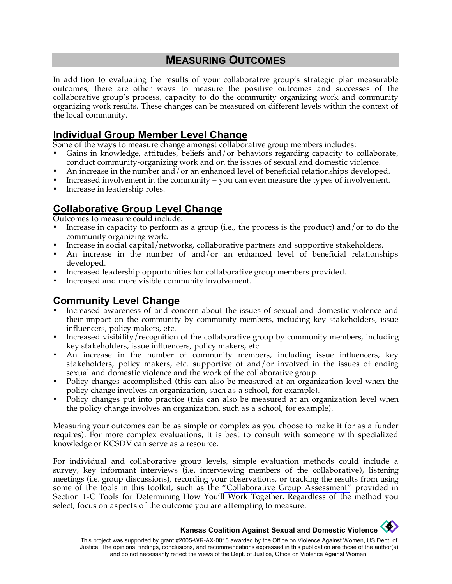## **MEASURING OUTCOMES**

In addition to evaluating the results of your collaborative group's strategic plan measurable outcomes, there are other ways to measure the positive outcomes and successes of the collaborative group's process, capacity to do the community organizing work and community organizing work results. These changes can be measured on different levels within the context of the local community.

#### **Individual Group Member Level Change**

Some of the ways to measure change amongst collaborative group members includes:

- Gains in knowledge, attitudes, beliefs and/or behaviors regarding capacity to collaborate, conduct community-organizing work and on the issues of sexual and domestic violence.
- An increase in the number and/or an enhanced level of beneficial relationships developed.
- Increased involvement in the community you can even measure the types of involvement.
- Increase in leadership roles.

## **Collaborative Group Level Change**

Outcomes to measure could include:

- Increase in capacity to perform as a group (i.e., the process is the product) and/or to do the community organizing work.
- Increase in social capital/networks, collaborative partners and supportive stakeholders.
- An increase in the number of and/or an enhanced level of beneficial relationships developed.
- Increased leadership opportunities for collaborative group members provided.
- Increased and more visible community involvement.

## **Community Level Change**

- Increased awareness of and concern about the issues of sexual and domestic violence and their impact on the community by community members, including key stakeholders, issue influencers, policy makers, etc.
- Increased visibility/recognition of the collaborative group by community members, including key stakeholders, issue influencers, policy makers, etc.
- An increase in the number of community members, including issue influencers, key stakeholders, policy makers, etc. supportive of and/or involved in the issues of ending sexual and domestic violence and the work of the collaborative group.
- Policy changes accomplished (this can also be measured at an organization level when the policy change involves an organization, such as a school, for example).
- Policy changes put into practice (this can also be measured at an organization level when the policy change involves an organization, such as a school, for example).

Measuring your outcomes can be as simple or complex as you choose to make it (or as a funder requires). For more complex evaluations, it is best to consult with someone with specialized knowledge or KCSDV can serve as a resource.

For individual and collaborative group levels, simple evaluation methods could include a survey, key informant interviews (i.e. interviewing members of the collaborative), listening meetings (i.e. group discussions), recording your observations, or tracking the results from using some of the tools in this toolkit, such as the ["Collaborative Group Assessment"](http://www.kcsdv.org/toolkit/commorgtoolkit.html#CollabGroupAssess) provided in Section 1-C Tools for Determining How You'll Work Together. Regardless of the method you select, focus on aspects of the outcome you are attempting to measure.

# **Kansas Coalition Against Sexual and Domestic Violence**